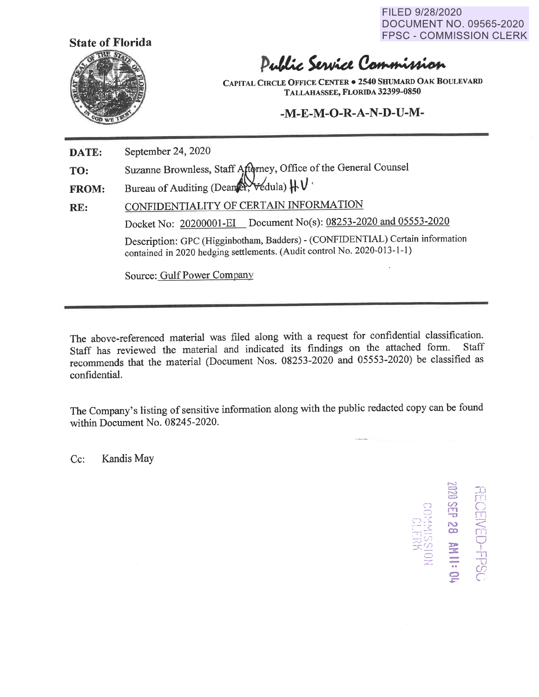FILED 9/28/2020 DOCUMENT NO. 09565-2020 FPSC - COMMISSION CLERK



## Public Service Commission

**CAPITAL CIRCLE OFFICE CENTER** • **2540 SHUMARD OAK BOULEVARD TALLAHASSEE, FLORIDA 32399-0850** 

## **-M-E-M-0-R-A-N-D-U-M-**

**DATE:**  September 24, 2020

**TO:**  Suzanne Brownless, Staff Afterney, Office of the General Counsel

**FROM:**  Bureau of Auditing (Dean<sup>2</sup>),  $\forall$  edula)  $\forall \forall$ 

**RE:**  CONFIDENTIALITY OF CERTAIN INFORMATION Docket No: 20200001-EI Document No(s): 08253-2020 and 05553-2020 Description: GPC (Higginbotham, Badders) - (CONFIDENTIAL) Certain information contained in 2020 hedging settlements. (Audit control No. 2020-013-1-1)

Source: Gulf Power Company

The above-referenced material was filed along with a request for confidential classification. Staff has reviewed the material and indicated its fmdings on the attached form. Staff recommends that the material (Document Nos. 08253-2020 and 05553-2020) be classified as confidential.

The Company's listing of sensitive information along with the public redacted copy can be found within Document No. 08245-2020.

Cc: Kandis May

 $\frac{11}{\sqrt{2}}$ NUTIO<br>NOISSIMAOC  $\tilde{\Pi}^ \widehat{\widetilde{\pi}}$  $\frac{1}{\infty}$ CJ  $\frac{1}{11}$ "U | -.. (0 *r-*,.